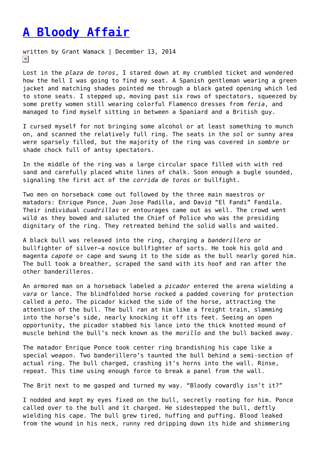## **[A Bloody Affair](https://entropymag.org/a-bloody-affair/)**

written by Grant Wamack | December 13, 2014  $\pmb{\times}$ 

Lost in the *plaza de toros*, I stared down at my crumbled ticket and wondered how the hell I was going to find my seat. A Spanish gentleman wearing a green jacket and matching shades pointed me through a black gated opening which led to stone seats. I stepped up, moving past six rows of spectators, squeezed by some pretty women still wearing colorful Flamenco dresses from *feria*, and managed to find myself sitting in between a Spaniard and a British guy.

I cursed myself for not bringing some alcohol or at least something to munch on, and scanned the relatively full ring. The seats in the *sol* or sunny area were sparsely filled, but the majority of the ring was covered in *sombre* or shade chock full of antsy spectators.

In the middle of the ring was a large circular space filled with with red sand and carefully placed white lines of chalk. Soon enough a bugle sounded, signaling the first act of the *corrida de toros* or bullfight.

Two men on horseback come out followed by the three main maestros or matadors: Enrique Ponce, Juan Jose Padilla, and David "El Fandi" Fandila. Their individual *cuadrillas* or entourages came out as well. The crowd went wild as they bowed and saluted the Chief of Police who was the presiding dignitary of the ring. They retreated behind the solid walls and waited.

A black bull was released into the ring, charging a *banderillero* or bullfighter of silver—a novice bullfighter of sorts. He took his gold and magenta *capote* or cape and swung it to the side as the bull nearly gored him. The bull took a breather, scraped the sand with its hoof and ran after the other banderilleros.

An armored man on a horseback labeled a *picador* entered the arena wielding a *vara* or lance. The blindfolded horse rocked a padded covering for protection called a *peto*. The picador kicked the side of the horse, attracting the attention of the bull. The bull ran at him like a freight train, slamming into the horse's side, nearly knocking it off its feet. Seeing an open opportunity, the picador stabbed his lance into the thick knotted mound of muscle behind the bull's neck known as the *morillo* and the bull backed away.

The matador Enrique Ponce took center ring brandishing his cape like a special weapon. Two banderillero's taunted the bull behind a semi-section of actual ring. The bull charged, crashing it's horns into the wall. Rinse, repeat. This time using enough force to break a panel from the wall.

The Brit next to me gasped and turned my way. "Bloody cowardly isn't it?"

I nodded and kept my eyes fixed on the bull, secretly rooting for him. Ponce called over to the bull and it charged. He sidestepped the bull, deftly wielding his cape. The bull grew tired, huffing and puffing. Blood leaked from the wound in his neck, runny red dripping down its hide and shimmering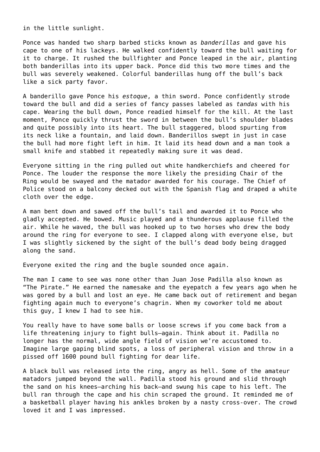in the little sunlight.

Ponce was handed two sharp barbed sticks known as *banderillas* and gave his cape to one of his lackeys. He walked confidently toward the bull waiting for it to charge. It rushed the bullfighter and Ponce leaped in the air, planting both banderillas into its upper back. Ponce did this two more times and the bull was severely weakened. Colorful banderillas hung off the bull's back like a sick party favor.

A banderillo gave Ponce his *estoque*, a thin sword. Ponce confidently strode toward the bull and did a series of fancy passes labeled as *tandas* with his cape. Wearing the bull down, Ponce readied himself for the kill. At the last moment, Ponce quickly thrust the sword in between the bull's shoulder blades and quite possibly into its heart. The bull staggered, blood spurting from its neck like a fountain, and laid down. Banderillos swept in just in case the bull had more fight left in him. It laid its head down and a man took a small knife and stabbed it repeatedly making sure it was dead.

Everyone sitting in the ring pulled out white handkerchiefs and cheered for Ponce. The louder the response the more likely the presiding Chair of the Ring would be swayed and the matador awarded for his courage. The Chief of Police stood on a balcony decked out with the Spanish flag and draped a white cloth over the edge.

A man bent down and sawed off the bull's tail and awarded it to Ponce who gladly accepted. He bowed. Music played and a thunderous applause filled the air. While he waved, the bull was hooked up to two horses who drew the body around the ring for everyone to see. I clapped along with everyone else, but I was slightly sickened by the sight of the bull's dead body being dragged along the sand.

Everyone exited the ring and the bugle sounded once again.

The man I came to see was none other than Juan Jose Padilla also known as "The Pirate." He earned the namesake and the eyepatch a few years ago when he was gored by a bull and lost an eye. He came back out of retirement and began fighting again much to everyone's chagrin. When my coworker told me about this guy, I knew I had to see him.

You really have to have some balls or loose screws if you come back from a life threatening injury to fight bulls—again. Think about it. Padilla no longer has the normal, wide angle field of vision we're accustomed to. Imagine large gaping blind spots, a loss of peripheral vision and throw in a pissed off 1600 pound bull fighting for dear life.

A black bull was released into the ring, angry as hell. Some of the amateur matadors jumped beyond the wall. Padilla stood his ground and slid through the sand on his knees—arching his back—and swung his cape to his left. The bull ran through the cape and his chin scraped the ground. It reminded me of a basketball player having his ankles broken by a nasty cross-over. The crowd loved it and I was impressed.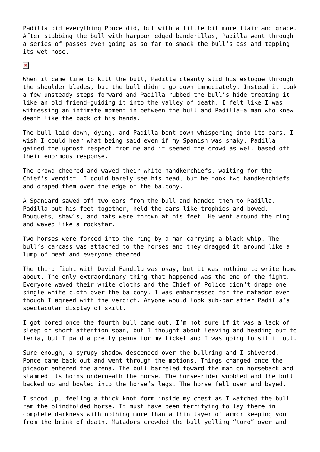Padilla did everything Ponce did, but with a little bit more flair and grace. After stabbing the bull with harpoon edged banderillas, Padilla went through a series of passes even going as so far to smack the bull's ass and tapping its wet nose.

 $\pmb{\times}$ 

When it came time to kill the bull, Padilla cleanly slid his estoque through the shoulder blades, but the bull didn't go down immediately. Instead it took a few unsteady steps forward and Padilla rubbed the bull's hide treating it like an old friend—guiding it into the valley of death. I felt like I was witnessing an intimate moment in between the bull and Padilla—a man who knew death like the back of his hands.

The bull laid down, dying, and Padilla bent down whispering into its ears. I wish I could hear what being said even if my Spanish was shaky. Padilla gained the upmost respect from me and it seemed the crowd as well based off their enormous response.

The crowd cheered and waved their white handkerchiefs, waiting for the Chief's verdict. I could barely see his head, but he took two handkerchiefs and draped them over the edge of the balcony.

A Spaniard sawed off two ears from the bull and handed them to Padilla. Padilla put his feet together, held the ears like trophies and bowed. Bouquets, shawls, and hats were thrown at his feet. He went around the ring and waved like a rockstar.

Two horses were forced into the ring by a man carrying a black whip. The bull's carcass was attached to the horses and they dragged it around like a lump of meat and everyone cheered.

The third fight with David Fandila was okay, but it was nothing to write home about. The only extraordinary thing that happened was the end of the fight. Everyone waved their white cloths and the Chief of Police didn't drape one single white cloth over the balcony. I was embarrassed for the matador even though I agreed with the verdict. Anyone would look sub-par after Padilla's spectacular display of skill.

I got bored once the fourth bull came out. I'm not sure if it was a lack of sleep or short attention span, but I thought about leaving and heading out to feria, but I paid a pretty penny for my ticket and I was going to sit it out.

Sure enough, a syrupy shadow descended over the bullring and I shivered. Ponce came back out and went through the motions. Things changed once the picador entered the arena. The bull barreled toward the man on horseback and slammed its horns underneath the horse. The horse-rider wobbled and the bull backed up and bowled into the horse's legs. The horse fell over and bayed.

I stood up, feeling a thick knot form inside my chest as I watched the bull ram the blindfolded horse. It must have been terrifying to lay there in complete darkness with nothing more than a thin layer of armor keeping you from the brink of death. Matadors crowded the bull yelling "toro" over and